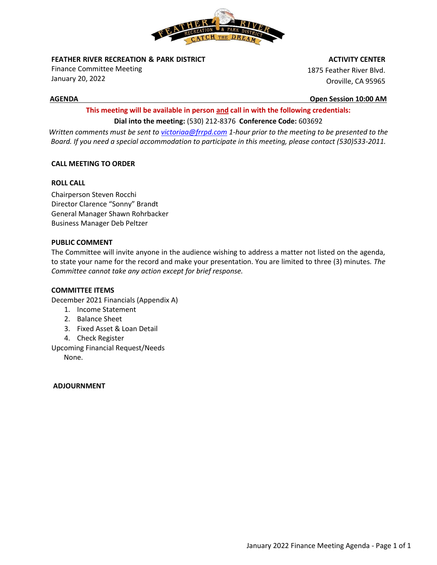

**FEATHER RIVER RECREATION & PARK DISTRICT** 

Finance Committee Meeting January 20, 2022

 **ACTIVITY CENTER**

1875 Feather River Blvd. Oroville, CA 95965

**AGENDA Open Session 10:00 AM**

# **This meeting will be available in person and call in with the following credentials: Dial into the meeting:** (530) 212-8376 **Conference Code:** 603692

*Written comments must be sent t[o victoriaa@frrpd.com](mailto:victoriaa@frrpd.com) 1-hour prior to the meeting to be presented to the Board. If you need a special accommodation to participate in this meeting, please contact (530)533-2011.*

# **CALL MEETING TO ORDER**

# **ROLL CALL**

Chairperson Steven Rocchi Director Clarence "Sonny" Brandt General Manager Shawn Rohrbacker Business Manager Deb Peltzer

# **PUBLIC COMMENT**

The Committee will invite anyone in the audience wishing to address a matter not listed on the agenda, to state your name for the record and make your presentation. You are limited to three (3) minutes*. The Committee cannot take any action except for brief response.*

# **COMMITTEE ITEMS**

December 2021 Financials (Appendix A)

- 1. Income Statement
- 2. Balance Sheet
- 3. Fixed Asset & Loan Detail
- 4. Check Register

Upcoming Financial Request/Needs

None.

# **ADJOURNMENT**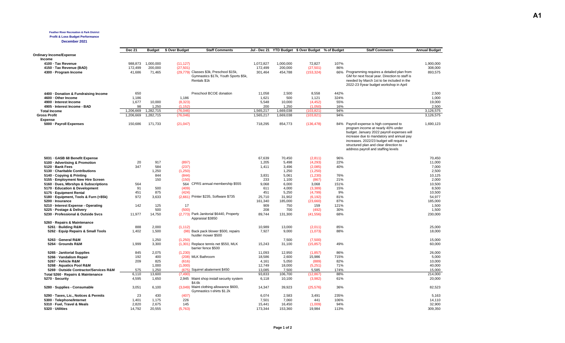#### **Feather River Recreation & Park District**

**Profit & Loss Budget Performance**

**December 2021**

|                                        | <b>Dec 21</b> | Budget    | \$ Over Budget | <b>Staff Comments</b>                    |           |           | Jul - Dec 21 YTD Budget \$ Over Budget % of Budget |      | <b>Staff Comments</b>                          | <b>Annual Budget</b> |
|----------------------------------------|---------------|-----------|----------------|------------------------------------------|-----------|-----------|----------------------------------------------------|------|------------------------------------------------|----------------------|
| <b>Ordinary Income/Expense</b>         |               |           |                |                                          |           |           |                                                    |      |                                                |                      |
| Income                                 |               |           |                |                                          |           |           |                                                    |      |                                                |                      |
| 4100 · Tax Revenue                     | 988.873       | 1,000,000 | (11, 127)      |                                          | 1,072,827 | 1,000,000 | 72,827                                             | 107% |                                                | 1,900,000            |
| 4150 · Tax Revenue (BAD)               | 172,499       | 200,000   | (27, 501)      |                                          | 172,499   | 200,000   | (27, 501)                                          | 86%  |                                                | 308,000              |
| 4300 - Program Income                  | 41,686        | 71,465    | (29.779)       | Classes \$3k, Preschool \$15k,           | 301,464   | 454,788   | (153, 324)                                         | 66%  | Programming requires a detailed plan from      | 893,575              |
|                                        |               |           |                | Gymnastics \$17k, Youth Sports \$5k,     |           |           |                                                    |      | GM for next fiscal year. Direction to staff is |                      |
|                                        |               |           |                | Rentals \$1k                             |           |           |                                                    |      | needed by March 1st to be included in the      |                      |
|                                        |               |           |                |                                          |           |           |                                                    |      | 2022-23 f/year budget workshop in April        |                      |
|                                        |               |           |                |                                          |           |           |                                                    |      |                                                |                      |
|                                        |               |           |                |                                          |           |           |                                                    |      |                                                |                      |
| 4400 Donation & Fundraising Income     | 650           |           |                | Preschool BCOE donation                  | 11,058    | 2,500     | 8,558                                              | 442% |                                                | 2,500                |
| 4600 - Other Income                    | 1.186         |           | 1.186          |                                          | 1,621     | 500       | 1,121                                              | 324% |                                                | 1.000                |
| 4900 - Interest Income                 | 1.677         | 10,000    | (8,323)        |                                          | 5.548     | 10.000    | (4, 452)                                           | 55%  |                                                | 19.000               |
| 4905 - Interest Income - BAD           | 98            | 1.250     | (1.152)        |                                          | 200       | 1.250     | (1.050)                                            | 16%  |                                                | 2.500                |
| <b>Total Income</b>                    | 1.206.669     | 1.282.715 | (76.046)       |                                          | 1.565.217 | 1.669.038 | (103.821)                                          | 94%  |                                                | 3.126.575            |
| <b>Gross Profit</b>                    | 1,206,669     | 1,282,715 | (76,046)       |                                          | 1,565,217 | 1,669,038 | (103, 821)                                         | 94%  |                                                | 3,126,575            |
| <b>Expense</b>                         |               |           |                |                                          |           |           |                                                    |      |                                                |                      |
| 5000 · Payroll Expenses                | 150,686       | 171,733   | (21, 047)      |                                          | 718,295   | 854,773   | (136, 478)                                         |      | 84% Payroll expense is high compared to        | 1,690,123            |
|                                        |               |           |                |                                          |           |           |                                                    |      | program income at nearly 40% under             |                      |
|                                        |               |           |                |                                          |           |           |                                                    |      | budget. January 2022 payroll expenses will     |                      |
|                                        |               |           |                |                                          |           |           |                                                    |      | increase due to mandatory and annual pay       |                      |
|                                        |               |           |                |                                          |           |           |                                                    |      | increases. 2022/23 budget will require a       |                      |
|                                        |               |           |                |                                          |           |           |                                                    |      | structured plan and clear direction to         |                      |
|                                        |               |           |                |                                          |           |           |                                                    |      | address payroll and staffing levels            |                      |
|                                        |               |           |                |                                          |           |           |                                                    |      |                                                |                      |
| 5031 GASB 68 Benefit Expense           |               |           |                |                                          | 67.639    | 70.450    | (2,811)                                            | 96%  |                                                | 70.450               |
| 5100 · Advertising & Promotion         | 20            | 917       | (897)          |                                          | 1,205     | 5,498     | (4,293)                                            | 22%  |                                                | 11,000               |
| 5120 · Bank Fees                       | 347           | 584       | (237)          |                                          | 1.411     | 3,496     | (2,085)                                            | 40%  |                                                | 7,000                |
|                                        |               |           |                |                                          |           |           |                                                    |      |                                                |                      |
| 5130 - Charitable Contributions        |               | 1,250     | (1,250)        |                                          |           | 1,250     | (1,250)                                            |      |                                                | 2,500                |
| 5140 Copying & Printing                |               | 844       | (844)          |                                          | 3,831     | 5,061     | (1, 230)                                           | 76%  |                                                | 10,125               |
| 5155 - Employment New Hire Screen      |               | 150       | (150)          |                                          | 233       | 1.100     | (867)                                              | 21%  |                                                | 2.000                |
| 5160 - Dues, Mbrshps & Subscriptions   | 564           |           | 564            | CPRS annual membership \$555             | 9,068     | 6.000     | 3,068                                              | 151% |                                                | 10,500               |
| 5170 - Education & Development         | 91            | 500       | (409)          |                                          | 611       | 4,000     | (3, 389)                                           | 15%  |                                                | 8,500                |
| 5175 - Equipment Rental                | 451           | 875       | (424)          |                                          | 451       | 5,250     | (4,799)                                            | 9%   |                                                | 10,500               |
| 5180 - Equipment, Tools & Furn (<\$5k) | 972           | 3,633     |                | (2,661) Printer \$235, Software \$735    | 25,710    | 31,902    | (6, 192)                                           | 81%  |                                                | 54,977               |
| 5200 - Insurance                       |               |           |                |                                          | 161,340   | 185,000   | (23,660)                                           | 87%  |                                                | 185,000              |
| 5210 - Interest Expense - Operating    | 142           | 125       | 17             |                                          | 909       | 750       | 159                                                | 121% |                                                | 1,500                |
| 5225 · Postage & Delivery              |               | 500       | (500)          |                                          | 208       | 700       | (492)                                              | 30%  |                                                | 1,500                |
| 5230 - Professional & Outside Svcs     | 11,977        | 14,750    |                | (2,773) Park Janitorial \$6440, Property | 89,744    | 131,300   | (41, 556)                                          | 68%  |                                                | 230,000              |
|                                        |               |           |                | Appraisial \$3850                        |           |           |                                                    |      |                                                |                      |
| 5260 - Repairs & Maintenance           |               |           |                |                                          |           |           |                                                    |      |                                                |                      |
| 5261 - Building R&M                    | 888           | 2,000     | (1, 112)       |                                          | 10,989    | 13,000    | (2,011)                                            | 85%  |                                                | 25,000               |
| 5262 · Equip Repairs & Small Tools     | 1,402         | 1,500     | (98)           | Back pack blower \$500, repairs          | 7,927     | 9,000     | (1,073)                                            | 88%  |                                                | 18,000               |
|                                        |               |           |                | hustler mower \$500                      |           |           |                                                    |      |                                                |                      |
| 5263 - General R&M                     |               | 1,250     | (1,250)        |                                          |           | 7,500     | (7,500)                                            |      |                                                | 15,000               |
| 5264 - Grounds R&M                     | 1,999         | 3,300     |                | (1,301) Replace tennis net \$550, MLK    | 15,243    | 31,100    | (15, 857)                                          | 49%  |                                                | 60,000               |
|                                        |               |           |                | barrier fence \$500                      |           |           |                                                    |      |                                                |                      |
| 5265 - Janitorial Supplies             | 845           | 2.075     | (1, 230)       |                                          | 11.093    | 12,950    | (1, 857)                                           | 86%  |                                                | 26,000               |
| 5266 - Vandalism Repair                | 192           | 400       |                | (208) MLK Bathroom                       | 18,586    | 2,600     | 15,986                                             | 715% |                                                | 5,000                |
| 5267 - Vehicle R&M                     | 209           | 825       | (616)          |                                          | 4,161     | 5,050     | (889)                                              | 82%  |                                                | 10,000               |
| 5268 - Aquatics Pool R&M               |               | 1,000     | (1,000)        |                                          | 12,749    | 18,000    | (5,251)                                            | 71%  |                                                | 40,000               |
|                                        |               |           |                | (675) Squirrel abatement \$450           |           |           |                                                    |      |                                                |                      |
| 5269 - Outside Contractor/Services R&M | 575           | 1,250     |                |                                          | 13,085    | 7,500     | 5,585                                              | 174% |                                                | 15,000               |
| Total 5260 · Repairs & Maintenance     | 6,110         | 13,600    | (7, 490)       |                                          | 93,833    | 106,700   | (12, 867)                                          | 88%  |                                                | 214,000              |
| 5270 · Security                        | 4,595         | 1,650     |                | 2,945 Maint shop install security system | 6,118     | 10,100    | (3,982)                                            | 61%  |                                                | 20,000               |
|                                        |               |           |                | \$4.6k                                   |           |           |                                                    |      |                                                |                      |
| 5280 · Supplies - Consumable           | 3,051         | 6,100     |                | (3.049) Maint clothing allowance \$600,  | 14,347    | 39,923    | (25, 576)                                          | 36%  |                                                | 82,523               |
|                                        |               |           |                | Gymnastics t-shirts \$1.2k               |           |           |                                                    |      |                                                |                      |
| 5290 · Taxes, Lic., Notices & Permits  | 23            | 430       | (407)          |                                          | 6,074     | 2,583     | 3,491                                              | 235% |                                                | 5,163                |
| 5300 · Telephone/Internet              | 1,401         | 1,175     | 226            |                                          | 7,501     | 7,060     | 441                                                | 106% |                                                | 14,110               |
| 5310 · Fuel, Travel & Meals            | 2,820         | 2,675     | 145            |                                          | 15,441    | 16,450    | (1,009)                                            | 94%  |                                                | 32,900               |
| 5320 - Utilities                       | 14,792        | 20,555    | (5,763)        |                                          | 173,344   | 153,360   | 19,984                                             | 113% |                                                | 309,350              |
|                                        |               |           |                |                                          |           |           |                                                    |      |                                                |                      |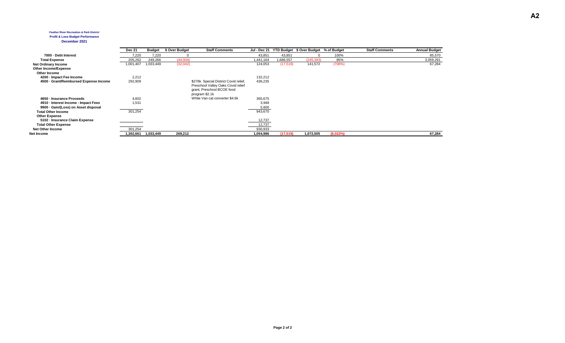#### **Feather River Recreation & Park District**

#### **Profit & Loss Budget Performance**

#### **December 2021**

|                                        | <b>Dec 21</b> | <b>Budget</b> | \$ Over Budget | <b>Staff Comments</b>                 | Jul - Dec 21 |           | YTD Budget \$ Over Budget % of Budget |          | <b>Staff Comments</b> | <b>Annual Budget</b> |
|----------------------------------------|---------------|---------------|----------------|---------------------------------------|--------------|-----------|---------------------------------------|----------|-----------------------|----------------------|
| 7000 - Debt Interest                   | 7.220         | 7,220         |                |                                       | 43,851       | 43,851    |                                       | 100%     |                       | 85,570               |
| <b>Total Expense</b>                   | 205,262       | 249,266       | (44,004)       |                                       | 441,164      | 686,557   | (245, 393)                            | 85%      |                       | 3,059,291            |
| <b>Net Ordinary Income</b>             | 1,001,407     | 1,033,449     | (32,042)       |                                       | 124,053      | (17, 519) | 141,572                               | (708%)   |                       | 67,284               |
| Other Income/Expense                   |               |               |                |                                       |              |           |                                       |          |                       |                      |
| Other Income                           |               |               |                |                                       |              |           |                                       |          |                       |                      |
| 4200 · Impact Fee Income               | 2,212         |               |                |                                       | 132,212      |           |                                       |          |                       |                      |
| 4500 · Grant/Reimbursed Expense Income | 292,909       |               |                | \$278k Special District Covid relief, | 436,235      |           |                                       |          |                       |                      |
|                                        |               |               |                | Preschool Valley Oaks Covid relief    |              |           |                                       |          |                       |                      |
|                                        |               |               |                | grant, Preschool BCOE food            |              |           |                                       |          |                       |                      |
|                                        |               |               |                | program \$2.1k                        |              |           |                                       |          |                       |                      |
| 4650 · Insurance Proceeds              | 4,602         |               |                | White Van cat converter \$4.6k        | 365,675      |           |                                       |          |                       |                      |
| 4910 - Interest Income - Impact Fees   | 1,531         |               |                |                                       | 3,948        |           |                                       |          |                       |                      |
| 9900 · Gain/(Loss) on Asset disposal   |               |               |                |                                       | 5,600        |           |                                       |          |                       |                      |
| <b>Total Other Income</b>              | 301,254       |               |                |                                       | 943,670      |           |                                       |          |                       |                      |
| <b>Other Expense</b>                   |               |               |                |                                       |              |           |                                       |          |                       |                      |
| 5102 - Insurance Claim Expense         |               |               |                |                                       | 12,737       |           |                                       |          |                       |                      |
| <b>Total Other Expense</b>             |               |               |                |                                       | 12,737       |           |                                       |          |                       |                      |
| Net Other Income                       | 301,254       |               |                |                                       | 930,933      |           |                                       |          |                       |                      |
| Net Income                             | 1,302,661     | 1,033,449     | 269,212        |                                       | 1,054,986    | (17, 519) | 1,072,505                             | (6,022%) |                       | 67,284               |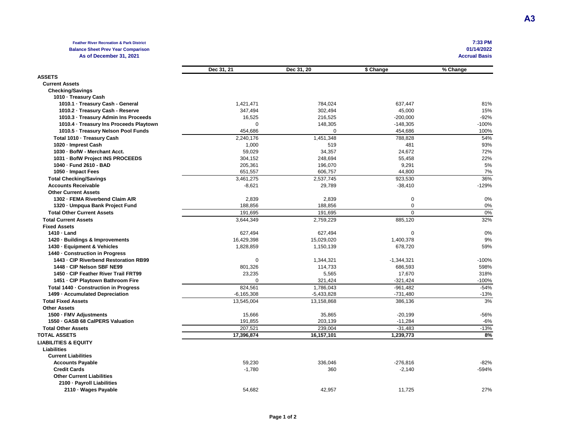#### **Feather River Recreation & Park District Balance Sheet Prev Year Comparison As of December 31, 2021 Accrual Basis**

| 7:33 PM    |
|------------|
| 01/14/2022 |
| . <b>.</b> |

|                                         | Dec 31, 21     | Dec 31, 20   | \$ Change      | % Change |
|-----------------------------------------|----------------|--------------|----------------|----------|
| <b>ASSETS</b>                           |                |              |                |          |
| <b>Current Assets</b>                   |                |              |                |          |
| <b>Checking/Savings</b>                 |                |              |                |          |
| 1010 - Treasury Cash                    |                |              |                |          |
| 1010.1 · Treasury Cash - General        | 1,421,471      | 784,024      | 637,447        | 81%      |
| 1010.2 · Treasury Cash - Reserve        | 347,494        | 302,494      | 45,000         | 15%      |
| 1010.3 · Treasury Admin Ins Proceeds    | 16,525         | 216,525      | $-200,000$     | $-92%$   |
| 1010.4 · Treasury Ins Proceeds Playtown | $\Omega$       | 148,305      | $-148,305$     | $-100%$  |
| 1010.5 · Treasury Nelson Pool Funds     | 454,686        | $\Omega$     | 454,686        | 100%     |
| Total 1010 · Treasury Cash              | 2,240,176      | 1,451,348    | 788,828        | 54%      |
| 1020 - Imprest Cash                     | 1,000          | 519          | 481            | 93%      |
| 1030 - BofW - Merchant Acct.            | 59,029         | 34,357       | 24,672         | 72%      |
| 1031 · BofW Project INS PROCEEDS        | 304,152        | 248,694      | 55,458         | 22%      |
| 1040 - Fund 2610 - BAD                  | 205,361        | 196,070      | 9,291          | 5%       |
| 1050 - Impact Fees                      | 651,557        | 606,757      | 44,800         | 7%       |
| <b>Total Checking/Savings</b>           | 3,461,275      | 2,537,745    | 923,530        | 36%      |
| <b>Accounts Receivable</b>              | $-8,621$       | 29,789       | $-38,410$      | $-129%$  |
| <b>Other Current Assets</b>             |                |              |                |          |
| 1302 - FEMA Riverbend Claim A/R         | 2,839          | 2,839        | $\mathbf 0$    | 0%       |
| 1320 - Umpqua Bank Project Fund         | 188,856        | 188,856      | $\mathbf 0$    | 0%       |
| <b>Total Other Current Assets</b>       | 191,695        | 191,695      | $\overline{0}$ | 0%       |
| <b>Total Current Assets</b>             | 3.644.349      | 2.759.229    | 885,120        | 32%      |
| <b>Fixed Assets</b>                     |                |              |                |          |
| 1410 - Land                             | 627,494        | 627,494      | $\mathbf 0$    | 0%       |
| 1420 · Buildings & Improvements         | 16,429,398     | 15,029,020   | 1,400,378      | 9%       |
| 1430 - Equipment & Vehicles             | 1,828,859      | 1,150,139    | 678,720        | 59%      |
| 1440 Construction in Progress           |                |              |                |          |
| 1443 - CIP Riverbend Restoration RB99   | 0              | 1,344,321    | $-1,344,321$   | $-100%$  |
| 1448 - CIP Nelson SBF NE99              | 801,326        | 114,733      | 686,593        | 598%     |
| 1450 - CIP Feather River Trail FRT99    | 23,235         | 5,565        | 17,670         | 318%     |
| 1451 - CIP Playtown Bathroom Fire       | $\Omega$       | 321,424      | $-321,424$     | $-100%$  |
| Total 1440 - Construction in Progress   | 824,561        | 1,786,043    | $-961,482$     | $-54%$   |
| 1499 - Accumulated Depreciation         | $-6, 165, 308$ | $-5,433,828$ | $-731,480$     | $-13%$   |
| <b>Total Fixed Assets</b>               | 13,545,004     | 13,158,868   | 386,136        | 3%       |
| <b>Other Assets</b>                     |                |              |                |          |
| 1500 - FMV Adjustments                  | 15,666         | 35,865       | $-20,199$      | $-56%$   |
| 1550 GASB 68 CalPERS Valuation          | 191,855        | 203,139      | $-11,284$      | $-6%$    |
| <b>Total Other Assets</b>               | 207,521        | 239,004      | $-31,483$      | $-13%$   |
| <b>TOTAL ASSETS</b>                     | 17,396,874     | 16,157,101   | 1,239,773      | 8%       |
| <b>LIABILITIES &amp; EQUITY</b>         |                |              |                |          |
| <b>Liabilities</b>                      |                |              |                |          |
| <b>Current Liabilities</b>              |                |              |                |          |
| <b>Accounts Payable</b>                 | 59,230         | 336,046      | $-276,816$     | $-82%$   |
| <b>Credit Cards</b>                     | $-1,780$       | 360          | $-2,140$       | $-594%$  |
| <b>Other Current Liabilities</b>        |                |              |                |          |
| 2100 - Payroll Liabilities              |                |              |                |          |
| 2110 · Wages Payable                    | 54.682         | 42.957       | 11.725         | 27%      |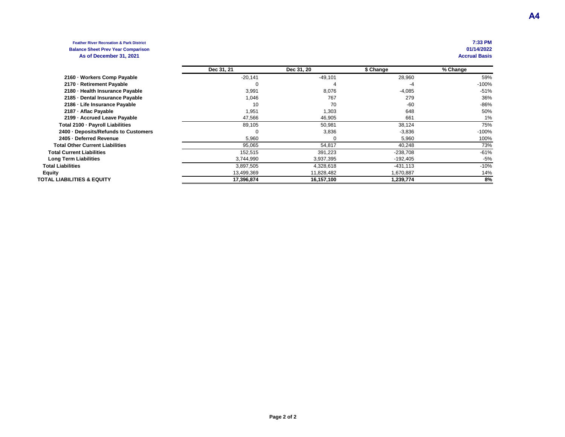#### **Feather River Recreation & Park District 7:33 PM Balance Sheet Prev Year Comparison 01/14/2022** As of December 31, 2021

|                                        | Dec 31, 21 | Dec 31, 20 | \$ Change  | % Change |
|----------------------------------------|------------|------------|------------|----------|
| 2160 - Workers Comp Payable            | $-20,141$  | $-49,101$  | 28,960     | 59%      |
| 2170 - Retirement Payable              |            |            | -4         | $-100%$  |
| 2180 - Health Insurance Payable        | 3,991      | 8,076      | $-4,085$   | $-51%$   |
| 2185 - Dental Insurance Payable        | 1,046      | 767        | 279        | 36%      |
| 2186 - Life Insurance Payable          | 10         | 70         | -60        | $-86%$   |
| 2187 - Aflac Payable                   | 1,951      | 1,303      | 648        | 50%      |
| 2199 - Accrued Leave Payable           | 47,566     | 46,905     | 661        | 1%       |
| Total 2100 · Payroll Liabilities       | 89,105     | 50,981     | 38,124     | 75%      |
| 2400 - Deposits/Refunds to Customers   |            | 3,836      | $-3,836$   | $-100%$  |
| 2405 - Deferred Revenue                | 5,960      |            | 5,960      | 100%     |
| <b>Total Other Current Liabilities</b> | 95,065     | 54,817     | 40,248     | 73%      |
| <b>Total Current Liabilities</b>       | 152,515    | 391,223    | $-238,708$ | $-61%$   |
| <b>Long Term Liabilities</b>           | 3,744,990  | 3,937,395  | -192,405   | -5%      |
| <b>Total Liabilities</b>               | 3,897,505  | 4,328,618  | $-431,113$ | $-10%$   |
| <b>Equity</b>                          | 13,499,369 | 11,828,482 | 1,670,887  | 14%      |
| <b>TOTAL LIABILITIES &amp; EQUITY</b>  | 17,396,874 | 16,157,100 | 1,239,774  | 8%       |
|                                        |            |            |            |          |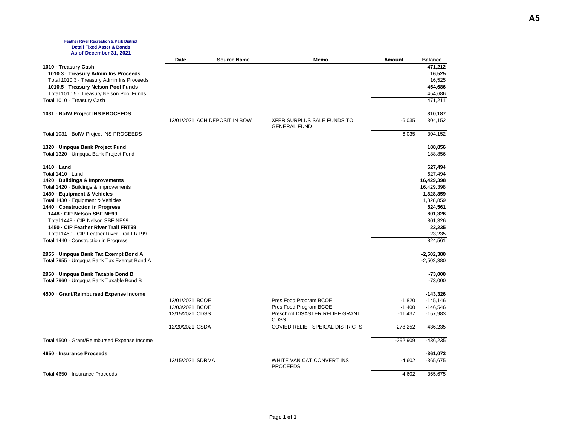#### **Feather River Recreation & Park District Detail Fixed Asset & Bonds As of December 31, 2021**

| <b>AS VI DEVERINGE JI, ZVAI</b>              | Date                          | <b>Source Name</b> | Memo                                              | Amount     | <b>Balance</b> |
|----------------------------------------------|-------------------------------|--------------------|---------------------------------------------------|------------|----------------|
| 1010 - Treasury Cash                         |                               |                    |                                                   |            | 471,212        |
| 1010.3 · Treasury Admin Ins Proceeds         |                               |                    |                                                   |            | 16,525         |
| Total 1010.3 · Treasury Admin Ins Proceeds   |                               |                    |                                                   |            | 16,525         |
| 1010.5 · Treasury Nelson Pool Funds          |                               |                    |                                                   |            | 454,686        |
| Total 1010.5 · Treasury Nelson Pool Funds    |                               |                    |                                                   |            | 454,686        |
| Total 1010 · Treasury Cash                   |                               |                    |                                                   |            | 471,211        |
| 1031 · BofW Project INS PROCEEDS             |                               |                    |                                                   |            | 310,187        |
|                                              | 12/01/2021 ACH DEPOSIT IN BOW |                    | XFER SURPLUS SALE FUNDS TO<br><b>GENERAL FUND</b> | $-6,035$   | 304,152        |
| Total 1031 · BofW Project INS PROCEEDS       |                               |                    |                                                   | $-6,035$   | 304,152        |
| 1320 - Umpqua Bank Project Fund              |                               |                    |                                                   |            | 188,856        |
| Total 1320 · Umpqua Bank Project Fund        |                               |                    |                                                   |            | 188,856        |
| 1410 · Land                                  |                               |                    |                                                   |            | 627,494        |
| Total 1410 · Land                            |                               |                    |                                                   |            | 627,494        |
| 1420 · Buildings & Improvements              |                               |                    |                                                   |            | 16,429,398     |
| Total 1420 · Buildings & Improvements        |                               |                    |                                                   |            | 16,429,398     |
| 1430 · Equipment & Vehicles                  |                               |                    |                                                   |            | 1,828,859      |
| Total 1430 · Equipment & Vehicles            |                               |                    |                                                   |            | 1,828,859      |
| 1440 - Construction in Progress              |                               |                    |                                                   |            | 824,561        |
| 1448 - CIP Nelson SBF NE99                   |                               |                    |                                                   |            | 801,326        |
| Total 1448 - CIP Nelson SBF NE99             |                               |                    |                                                   |            | 801,326        |
| 1450 - CIP Feather River Trail FRT99         |                               |                    |                                                   |            | 23,235         |
| Total 1450 - CIP Feather River Trail FRT99   |                               |                    |                                                   |            | 23,235         |
| Total 1440 Construction in Progress          |                               |                    |                                                   |            | 824,561        |
| 2955 - Umpqua Bank Tax Exempt Bond A         |                               |                    |                                                   |            | $-2,502,380$   |
| Total 2955 · Umpqua Bank Tax Exempt Bond A   |                               |                    |                                                   |            | $-2,502,380$   |
| 2960 · Umpqua Bank Taxable Bond B            |                               |                    |                                                   |            | $-73,000$      |
| Total 2960 · Umpqua Bank Taxable Bond B      |                               |                    |                                                   |            | $-73,000$      |
| 4500 Grant/Reimbursed Expense Income         |                               |                    |                                                   |            | $-143,326$     |
|                                              | 12/01/2021 BCOE               |                    | Pres Food Program BCOE                            | $-1,820$   | $-145, 146$    |
|                                              | 12/03/2021 BCOE               |                    | Pres Food Program BCOE                            | $-1,400$   | $-146,546$     |
|                                              | 12/15/2021 CDSS               |                    | Preschool DISASTER RELIEF GRANT<br><b>CDSS</b>    | $-11,437$  | $-157,983$     |
|                                              | 12/20/2021 CSDA               |                    | COVIED RELIEF SPEICAL DISTRICTS                   | $-278,252$ | $-436,235$     |
| Total 4500 · Grant/Reimbursed Expense Income |                               |                    |                                                   | $-292,909$ | -436,235       |
| 4650 · Insurance Proceeds                    |                               |                    |                                                   |            | $-361,073$     |
|                                              | 12/15/2021 SDRMA              |                    | WHITE VAN CAT CONVERT INS<br><b>PROCEEDS</b>      | $-4,602$   | -365,675       |
| Total 4650 · Insurance Proceeds              |                               |                    |                                                   | $-4,602$   | $-365,675$     |